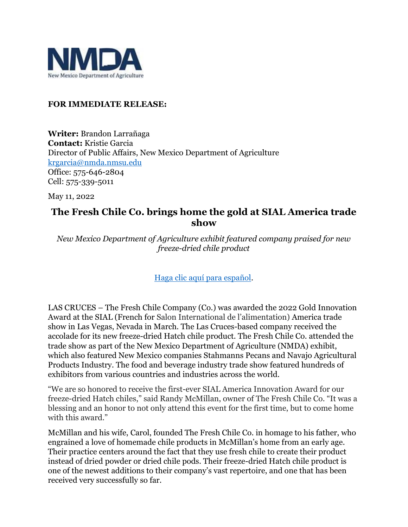

## **FOR IMMEDIATE RELEASE:**

**Writer:** Brandon Larrañaga **Contact:** Kristie Garcia Director of Public Affairs, New Mexico Department of Agriculture [krgarcia@nmda.nmsu.edu](mailto:krgarcia@nmda.nmsu.edu) Office: 575-646-2804 Cell: 575-339-5011

May 11, 2022

## **The Fresh Chile Co. brings home the gold at SIAL America trade show**

*New Mexico Department of Agriculture exhibit featured company praised for new freeze-dried chile product*

[Haga clic aquí para español.](https://nmdeptag.nmsu.edu/new-release/2022/spanish/la-compania-fresh-chile-trae-a-casa-la-medalla-de-oro-en-la-feria-comercial-sial-america.html)

LAS CRUCES – The Fresh Chile Company (Co.) was awarded the 2022 Gold Innovation Award at the SIAL (French for Salon International de l'alimentation) America trade show in Las Vegas, Nevada in March. The Las Cruces-based company received the accolade for its new freeze-dried Hatch chile product. The Fresh Chile Co. attended the trade show as part of the New Mexico Department of Agriculture (NMDA) exhibit, which also featured New Mexico companies Stahmanns Pecans and Navajo Agricultural Products Industry. The food and beverage industry trade show featured hundreds of exhibitors from various countries and industries across the world.

"We are so honored to receive the first-ever SIAL America Innovation Award for our freeze-dried Hatch chiles," said Randy McMillan, owner of The Fresh Chile Co. "It was a blessing and an honor to not only attend this event for the first time, but to come home with this award."

McMillan and his wife, Carol, founded The Fresh Chile Co. in homage to his father, who engrained a love of homemade chile products in McMillan's home from an early age. Their practice centers around the fact that they use fresh chile to create their product instead of dried powder or dried chile pods. Their freeze-dried Hatch chile product is one of the newest additions to their company's vast repertoire, and one that has been received very successfully so far.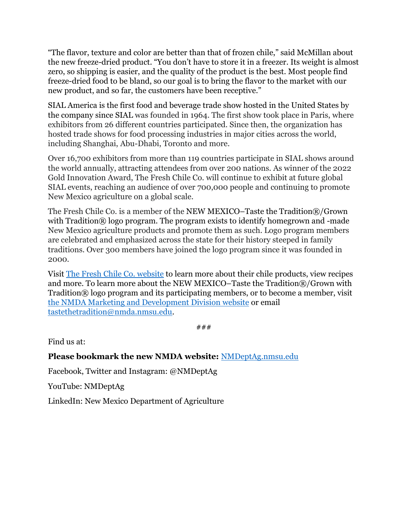"The flavor, texture and color are better than that of frozen chile," said McMillan about the new freeze-dried product. "You don't have to store it in a freezer. Its weight is almost zero, so shipping is easier, and the quality of the product is the best. Most people find freeze-dried food to be bland, so our goal is to bring the flavor to the market with our new product, and so far, the customers have been receptive."

SIAL America is the first food and beverage trade show hosted in the United States by the company since SIAL was founded in 1964. The first show took place in Paris, where exhibitors from 26 different countries participated. Since then, the organization has hosted trade shows for food processing industries in major cities across the world, including Shanghai, Abu-Dhabi, Toronto and more.

Over 16,700 exhibitors from more than 119 countries participate in SIAL shows around the world annually, attracting attendees from over 200 nations. As winner of the 2022 Gold Innovation Award, The Fresh Chile Co. will continue to exhibit at future global SIAL events, reaching an audience of over 700,000 people and continuing to promote New Mexico agriculture on a global scale.

The Fresh Chile Co. is a member of the NEW MEXICO–Taste the Tradition®/Grown with Tradition® logo program. The program exists to identify homegrown and -made New Mexico agriculture products and promote them as such. Logo program members are celebrated and emphasized across the state for their history steeped in family traditions. Over 300 members have joined the logo program since it was founded in 2000.

Visit [The Fresh Chile Co. website](https://freshchileco.com/) to learn more about their chile products, view recipes and more. To learn more about the NEW MEXICO–Taste the Tradition®/Grown with Tradition® logo program and its participating members, or to become a member, visit [the NMDA Marketing and Development Division website](https://www.elevatenmag.com/logo-program/) or email [tastethetradition@nmda.nmsu.edu.](mailto:tastethetradition@nmda.nmsu.edu)

###

Find us at:

**Please bookmark the new NMDA website:** [NMDeptAg.nmsu.edu](https://nmdeptag.nmsu.edu/)

Facebook, Twitter and Instagram: @NMDeptAg

YouTube: NMDeptAg

LinkedIn: New Mexico Department of Agriculture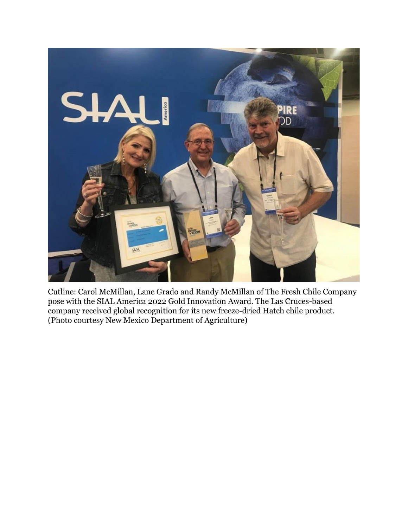

Cutline: Carol McMillan, Lane Grado and Randy McMillan of The Fresh Chile Company pose with the SIAL America 2022 Gold Innovation Award. The Las Cruces-based company received global recognition for its new freeze-dried Hatch chile product. (Photo courtesy New Mexico Department of Agriculture)